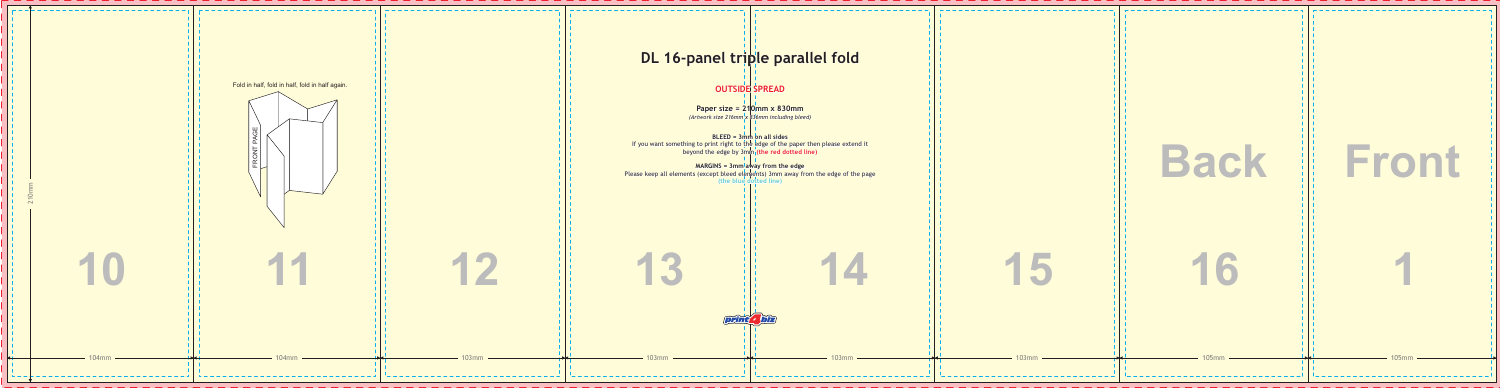## **OUTSIDE SPREAD**

**Paper size = 210mm x 830mm** *(Artwork size 216mm x 836mm including bleed)*

**BLEED = 3mm on all sides beyond the edge by 3mm<sub>|</sub> (the red dotted line)** If you want something to print right to the edge of the paper then please extend

#### **MARGINS = 3mm away from the edge**

# **DL 16-panel triple parallel fold**

**(the blue dotted line)** Please keep all elements (except bleed elements) 3mm away from the edge of the page



|   | <b>Back</b> | Front   |
|---|-------------|---------|
|   | 16          |         |
| m | 105mm -     | 105mm - |

-----------------------------

1 0 3 m m

1 0 3 m m

1 0 3 m

*print4biz*